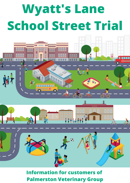# **Wyatt's Lane School Street Trial**





**Information for customers of Palmerston Veterinary Group**